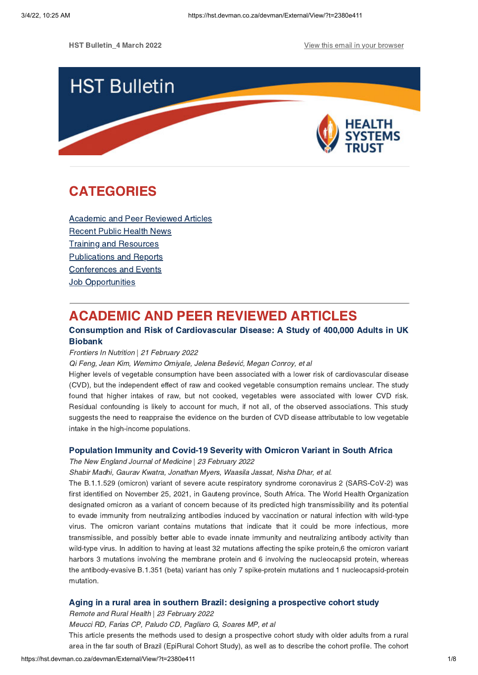

# **CATEGORIES** CATEGORIES<br>CATEGORIES<br>CATEGORIES

Academic and Peer [Reviewed](#page-0-0) Articles [Recent](#page-2-0) Public Health News Training and Resources [Publications](#page-5-0) and Reports [Conferences](#page-6-0) and Events **Job [Opportunities](#page-7-0)** 

# <span id="page-0-0"></span>**ACADEMIC AND PEER REVIEWED ARTICLES**

### Consumption and Risk of Cardiovascular Disease: A Study of 400,000 Adults in UK Biobank Consumption and Risk of Cardiovascular Disease: A Study of 400,000 Adults in UK

## Frontiers In Nutrition | 21 February 2022

Qi Feng, Jean Kim, Wemimo Omiyale, Jelena Bešević, Megan Conroy, et al

Higher levels of vegetable consumption have been associated with a lower risk of cardiovascular disease (CVD), but the independent effect of raw and cooked vegetable consumption remains unclear. The study found that higher intakes of raw, but not cooked, vegetables were associated with lower CVD risk. Residual confounding is likely to account for much, if not all, of the observed associations. This study suggests the need to reappraise the evidence on the burden of CVD disease attributable to low vegetable intake in the high-income populations.

Population Immunity and Covid-19 Severity with Omicron Variant in South Africa The New England Journal of Medicine | 23 February 2022

Shabir Madhi, Gaurav Kwatra, Jonathan Myers, Waasila Jassat, Nisha Dhar, et al.

The B.1.1.529 (omicron) variant of severe acute respiratory syndrome coronavirus 2 (SARS-CoV-2) was first identified on November 25, 2021, in Gauteng province, South Africa. The World Health Organization designated omicron as a variant of concern because of its predicted high transmissibility and its potential to evade immunity from neutralizing antibodies induced by vaccination or natural infection with wild-type virus. The omicron variant contains mutations that indicate that it could be more infectious, more transmissible, and possibly better able to evade innate immunity and neutralizing antibody activity than wild-type virus. In addition to having at least 32 mutations affecting the spike protein,6 the omicron variant harbors 3 mutations involving the membrane protein and 6 involving the nucleocapsid protein, whereas the antibody-evasive B.1.351 (beta) variant has only 7 spike-protein mutations and 1 nucleocapsid-protein mutation.

and Brazil: designing and Rural Health | 23 February 2022

Meucci RD, Farias CP, Paludo CD, Pagliaro G, Soares MP, et al

This article presents the methods used to design a prospective cohort study with older adults from a rural area in the far south of Brazil (EpiRural Cohort Study), as well as to describe the cohort profile. The cohort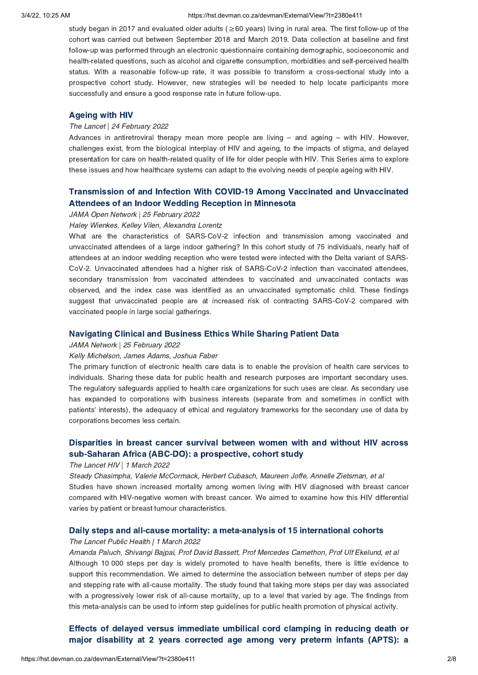### 3/4/22, 10:25 AM https://hst.devman.co.za/devman/External/View/?t=2380e411

study began in 2017 and evaluated older adults ( $\geq 60$  years) living in rural area. The first follow-up of the cohort was carried out between September 2018 and March 2019. Data collection at baseline and first follow-up was performed through an electronic questionnaire containing demographic, socioeconomic and health-related questions, such as alcohol and cigarette consumption, morbidities and self-perceived health status. With a reasonable follow-up rate, it was possible to transform a cross-sectional study into a prospective cohort study. However, new strategies will be needed to help locate participants more successfully and ensure a good response rate in future follow-ups.

## Ageing with HIV The Lancet | 24 February 2022

Advances in antiretroviral therapy mean more people are living – and ageing – with HIV. However, challenges exist, from the biological interplay of HIV and ageing, to the impacts of stigma, and delayed presentation for care on health-related quality of life for older people with HIV. This Series aims to explore these issues and how healthcare systems can adapt to the evolving needs of people ageing with HIV.

# Transmission of and Infection With COVID-19 Among Vaccinated and [Unvaccinated](https://hst.devman.co.za/devman/external/?t=c32b0301)

## JAMA Open Network | 25 February 2022

### Haley Wienkes, Kelley Vilen, Alexandra Lorentz

What are the characteristics of SARS-CoV-2 infection and transmission among vaccinated and unvaccinated attendees of a large indoor gathering? In this cohort study of 75 individuals, nearly half of attendees at an indoor wedding reception who were tested were infected with the Delta variant of SARS-CoV-2. Unvaccinated attendees had a higher risk of SARS-CoV-2 infection than vaccinated attendees, secondary transmission from vaccinated attendees to vaccinated and unvaccinated contacts was observed, and the index case was identified as an unvaccinated symptomatic child. These findings suggest that unvaccinated people are at increased risk of contracting SARS-CoV-2 compared with vaccinated people in large social gatherings.

## Navigating Clinical and Business Ethics While Sharing Patient Data JAMA Network | 25 February 2022

### Kelly Michelson, James Adams, Joshua Faber

The primary function of electronic health care data is to enable the provision of health care services to individuals. Sharing these data for public health and research purposes are important secondary uses. The regulatory safeguards applied to health care organizations for such uses are clear. As secondary use has expanded to corporations with business interests (separate from and sometimes in conflict with patients' interests), the adequacy of ethical and regulatory frameworks for the secondary use of data by corporations becomes less certain.

# [Disparities](https://hst.devman.co.za/devman/external/?t=cb3e2c43) in breast cancer survival between women with and without HIV across sub-Saharan Africa (ABC-DO): a prospective, cohort study

## sub-Saharan Africa (ABC-DO), a prospective, cohort study<br>The Lancet HIV | 1 March 2022

Steady Chasimpha, Valerie McCormack, Herbert Cubasch, Maureen Joffe, Annelle Zietsman, et al Studies have shown increased mortality among women living with HIV diagnosed with breast cancer compared with HIV-negative women with breast cancer. We aimed to examine how this HIV differential varies by patient or breast tumour characteristics.

## Daily steps and all-cause mortality: a meta-analysis of 15 international cohorts The Lancet Public Health | 1 March 2022

Amanda Paluch, Shivangi Bajpai, Prof David Bassett, Prof Mercedes Carnethon, Prof Ulf Ekelund, et al Although 10 000 steps per day is widely promoted to have health benefits, there is little evidence to support this recommendation. We aimed to determine the association between number of steps per day and stepping rate with all-cause mortality. The study found that taking more steps per day was associated with a progressively lower risk of all-cause mortality, up to a level that varied by age. The findings from this meta-analysis can be used to inform step guidelines for public health promotion of physical activity.

Effects of delayed versus [immediate](https://hst.devman.co.za/devman/external/?t=fc55768d) umbilical cord clamping in reducing death or major disability at 2 years corrected age among very preterm infants (APTS): a major disability at 2 years corrected age among very preterm infants (APTS): a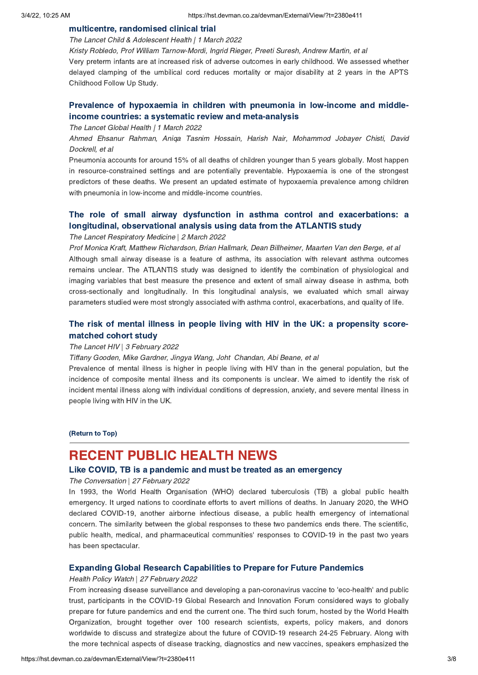multicentre, randomised clinical trial The Lancet Child & Adolescent Health | 1 March 2022

Kristy Robledo, Prof William Tarnow-Mordi, Ingrid Rieger, Preeti Suresh, Andrew Martin, et al

Very preterm infants are at increased risk of adverse outcomes in early childhood. We assessed whether delayed clamping of the umbilical cord reduces mortality or major disability at 2 years in the APTS Childhood Follow Up Study.

# Prevalence of [hypoxaemia](https://hst.devman.co.za/devman/external/?t=b99ec6eb) in children with pneumonia in low-income and middle-<br>income countries: a systematic review and meta-analysis

income countries: a systematic review and meta-analysis The Lancet Global Health | 1 March 2022

Ahmed Ehsanur Rahman, Aniqa Tasnim Hossain, Harish Nair, Mohammod Jobayer Chisti, David Dockrell, et al

Pneumonia accounts for around 15% of all deaths of children younger than 5 years globally. Most happen in resource-constrained settings and are potentially preventable. Hypoxaemia is one of the strongest predictors of these deaths. We present an updated estimate of hypoxaemia prevalence among children with pneumonia in low-income and middle-income countries.

# The role of small airway dysfunction in asthma control and [exacerbations:](https://hst.devman.co.za/devman/external/?t=a70114a) a longitudinal, observational analysis using data from the ATLANTIS study

## elongitudinal analysis using data from the ATLANTIS study of the ATLANTIS study of the ATLANTIS study of the ATLANTIS study of the ATLANTIS study of the ATLANTIS study of the ATLANTIS study of the ATLANTIS study of the ATL

Prof Monica Kraft, Matthew Richardson, Brian Hallmark, Dean Billheimer, Maarten Van den Berge, et al Although small airway disease is a feature of asthma, its association with relevant asthma outcomes remains unclear. The ATLANTIS study was designed to identify the combination of physiological and imaging variables that best measure the presence and extent of small airway disease in asthma, both cross-sectionally and longitudinally. In this longitudinal analysis, we evaluated which small airway parameters studied were most strongly associated with asthma control, exacerbations, and quality of life.

# The risk of mental illness in people living with HIV in the UK: a [propensity](https://hst.devman.co.za/devman/external/?t=4b042e2d) score-

## The Lancet HIV | 3 February 2022

Tiffany Gooden, Mike Gardner, Jingya Wang, Joht Chandan, Abi Beane, et al

Prevalence of mental illness is higher in people living with HIV than in the general population, but the incidence of composite mental illness and its components is unclear. We aimed to identify the risk of incident mental illness along with individual conditions of depression, anxiety, and severe mental illness in people living with HIV in the UK.

(Return to Top)

## <span id="page-2-0"></span>**RECENT PUBLIC HEALTH NEWS**

### Like COVID. TB is a pandemic and must be treated as an emergency

Like COVID, TB is a pandemic and must be treated as an emergency The Conversation | 27 February 2022

In 1993, the World Health Organisation (WHO) declared tuberculosis (TB) a global public health emergency. It urged nations to coordinate efforts to avert millions of deaths. In January 2020, the WHO declared COVID-19, another airborne infectious disease, a public health emergency of international concern. The similarity between the global responses to these two pandemics ends there. The scientific, public health, medical, and pharmaceutical communities' responses to COVID-19 in the past two years has been spectacular.

## Expanding Global Research Capabilities to Prepare for Future Pandemics Health Policy Watch | 27 February 2022

From increasing disease surveillance and developing a pan-coronavirus vaccine to 'eco-health' and public trust, participants in the COVID-19 Global Research and Innovation Forum considered ways to globally prepare for future pandemics and end the current one. The third such forum, hosted by the World Health Organization, brought together over 100 research scientists, experts, policy makers, and donors worldwide to discuss and strategize about the future of COVID-19 research 24-25 February. Along with the more technical aspects of disease tracking, diagnostics and new vaccines, speakers emphasized the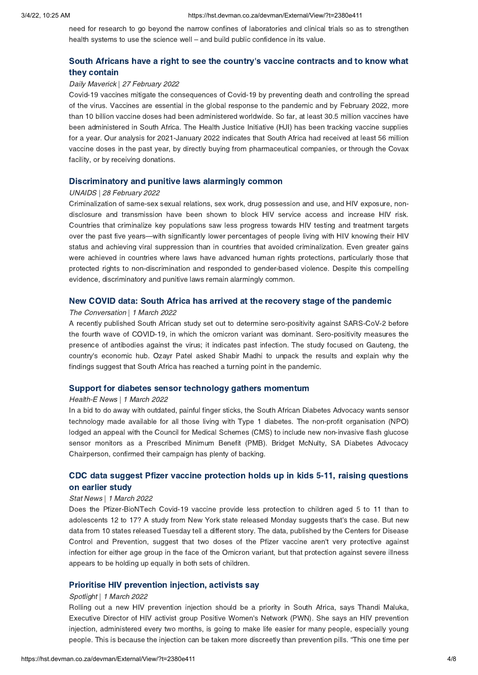need for research to go beyond the narrow confines of laboratories and clinical trials so as to strengthen health systems to use the science well – and build public confidence in its value.

# South Africans have a right to see the country's vaccine [contracts](https://hst.devman.co.za/devman/external/?t=2ae582c6) and to know what

## they contain Daily Maverick | 27 February 2022

Covid-19 vaccines mitigate the consequences of Covid-19 by preventing death and controlling the spread of the virus. Vaccines are essential in the global response to the pandemic and by February 2022, more than 10 billion vaccine doses had been administered worldwide. So far, at least 30.5 million vaccines have been administered in South Africa. The Health Justice Initiative (HJI) has been tracking vaccine supplies for a year. Our analysis for 2021-January 2022 indicates that South Africa had received at least 56 million vaccine doses in the past year, by directly buying from pharmaceutical companies, or through the Covax facility, or by receiving donations.

## Discriminatory and punitive laws alarmingly common UNAIDS | 28 February 2022

Criminalization of same-sex sexual relations, sex work, drug possession and use, and HIV exposure, nondisclosure and transmission have been shown to block HIV service access and increase HIV risk. Countries that criminalize key populations saw less progress towards HIV testing and treatment targets over the past five years—with significantly lower percentages of people living with HIV knowing their HIV status and achieving viral suppression than in countries that avoided criminalization. Even greater gains were achieved in countries where laws have advanced human rights protections, particularly those that protected rights to non-discrimination and responded to gender-based violence. Despite this compelling evidence, discriminatory and punitive laws remain alarmingly common.

## The Conversation | 1 March 2022

A recently published South African study set out to determine sero-positivity against SARS-CoV-2 before the fourth wave of COVID-19, in which the omicron variant was dominant. Sero-positivity measures the presence of antibodies against the virus; it indicates past infection. The study focused on Gauteng, the country's economic hub. Ozayr Patel asked Shabir Madhi to unpack the results and explain why the findings suggest that South Africa has reached a turning point in the pandemic.

## Support for diabetes sensor technology gathers momentum Health-E News | 1 March 2022

In a bid to do away with outdated, painful finger sticks, the South African Diabetes Advocacy wants sensor technology made available for all those living with Type 1 diabetes. The non-profit organisation (NPO) lodged an appeal with the Council for Medical Schemes (CMS) to include new non-invasive flash glucose sensor monitors as a Prescribed Minimum Benefit (PMB). Bridget McNulty, SA Diabetes Advocacy Chairperson, confirmed their campaign has plenty of backing.

# CDC data suggest Pfizer vaccine [protection](https://hst.devman.co.za/devman/external/?t=640ff652) holds up in kids 5-11, raising questions

## Stat News | 1 March 2022

Does the Pfizer-BioNTech Covid-19 vaccine provide less protection to children aged 5 to 11 than to adolescents 12 to 17? A study from New York state released Monday suggests that's the case. But new data from 10 states released Tuesday tell a different story. The data, published by the Centers for Disease Control and Prevention, suggest that two doses of the Pfizer vaccine aren't very protective against infection for either age group in the face of the Omicron variant, but that protection against severe illness appears to be holding up equally in both sets of children.

## Spotlight | 1 March 2022

Rolling out a new HIV prevention injection should be a priority in South Africa, says Thandi Maluka, Executive Director of HIV activist group Positive Women's Network (PWN). She says an HIV prevention injection, administered every two months, is going to make life easier for many people, especially young people. This is because the injection can be taken more discreetly than prevention pills. "This one time per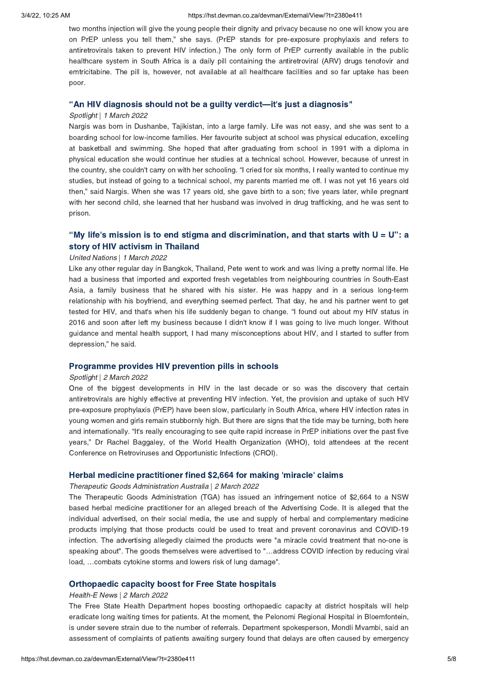two months injection will give the young people their dignity and privacy because no one will know you are on PrEP unless you tell them," she says. (PrEP stands for pre-exposure prophylaxis and refers to antiretrovirals taken to prevent HIV infection.) The only form of PrEP currently available in the public healthcare system in South Africa is a daily pill containing the antiretroviral (ARV) drugs tenofovir and emtricitabine. The pill is, however, not available at all healthcare facilities and so far uptake has been poor.

### "An HIV diagnosis should not be a guilty verdict[—](https://hst.devman.co.za/devman/external/?t=6955070f)it['](https://hst.devman.co.za/devman/external/?t=6955070f)s just a diagnosis"

### Spotlight | 1 March 2022

Nargis was born in Dushanbe, Tajikistan, into a large family. Life was not easy, and she was sent to a boarding school for low-income families. Her favourite subject at school was physical education, excelling at basketball and swimming. She hoped that after graduating from school in 1991 with a diploma in physical education she would continue her studies at a technical school. However, because of unrest in the country, she couldn't carry on with her schooling. "I cried for six months, I really wanted to continue my studies, but instead of going to a technical school, my parents married me off. I was not yet 16 years old then," said Nargis. When she was 17 years old, she gave birth to a son; five years later, while pregnant with her second child, she learned that her husband was involved in drug trafficking, and he was sent to prison.

# "My life's mission is to end stigma and [discrimination,](https://hst.devman.co.za/devman/external/?t=a9e923f2) and that starts with  $U = U$ ": a story of HIV activism in Thailand

## United Nations | 1 March 2022

Like any other regular day in Bangkok, Thailand, Pete went to work and was living a pretty normal life. He had a business that imported and exported fresh vegetables from neighbouring countries in South-East Asia, a family business that he shared with his sister. He was happy and in a serious long-term relationship with his boyfriend, and everything seemed perfect. That day, he and his partner went to get tested for HIV, and that's when his life suddenly began to change. "I found out about my HIV status in 2016 and soon after left my business because I didn't know if I was going to live much longer. Without guidance and mental health support, I had many misconceptions about HIV, and I started to suffer from depression," he said.

## Programme provides HIV prevention pills in schools Spotlight | 2 March 2022

One of the biggest developments in HIV in the last decade or so was the discovery that certain antiretrovirals are highly effective at preventing HIV infection. Yet, the provision and uptake of such HIV pre-exposure prophylaxis (PrEP) have been slow, particularly in South Africa, where HIV infection rates in young women and girls remain stubbornly high. But there are signs that the tide may be turning, both here and internationally. "It's really encouraging to see quite rapid increase in PrEP initiations over the past five years," Dr Rachel Baggaley, of the World Health Organization (WHO), told attendees at the recent Conference on Retroviruses and Opportunistic Infections (CROI).

### Herbal medicine practitioner fined \$2,664 for making ['](https://hst.devman.co.za/devman/external/?t=38f92e2c)miracle['](https://hst.devman.co.za/devman/external/?t=38f92e2c) claims

### Therapeutic Goods Administration Australia | 2 March 2022

The Therapeutic Goods Administration (TGA) has issued an infringement notice of \$2,664 to a NSW based herbal medicine practitioner for an alleged breach of the Advertising Code. It is alleged that the individual advertised, on their social media, the use and supply of herbal and complementary medicine products implying that those products could be used to treat and prevent coronavirus and COVID-19 infection. The advertising allegedly claimed the products were "a miracle covid treatment that no-one is speaking about". The goods themselves were advertised to "…address COVID infection by reducing viral load, …combats cytokine storms and lowers risk of lung damage".

## Orthopaedic capacity boost for Free State hospitals Health-E News | 2 March 2022

The Free State Health Department hopes boosting orthopaedic capacity at district hospitals will help eradicate long waiting times for patients. At the moment, the Pelonomi Regional Hospital in Bloemfontein, is under severe strain due to the number of referrals. Department spokesperson, Mondli Mvambi, said an assessment of complaints of patients awaiting surgery found that delays are often caused by emergency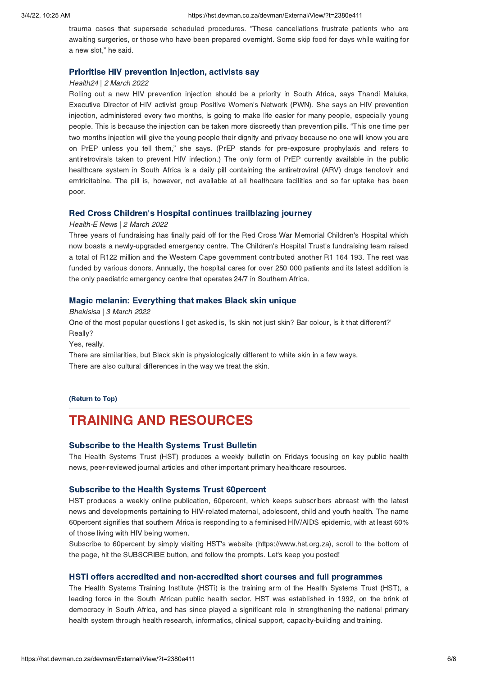trauma cases that supersede scheduled procedures. "These cancellations frustrate patients who are awaiting surgeries, or those who have been prepared overnight. Some skip food for days while waiting for a new slot," he said.

## Prioritise HIV prevention injection, activists say Health24 | 2 March 2022

Rolling out a new HIV prevention injection should be a priority in South Africa, says Thandi Maluka, Executive Director of HIV activist group Positive Women's Network (PWN). She says an HIV prevention injection, administered every two months, is going to make life easier for many people, especially young people. This is because the injection can be taken more discreetly than prevention pills. "This one time per two months injection will give the young people their dignity and privacy because no one will know you are on PrEP unless you tell them," she says. (PrEP stands for pre-exposure prophylaxis and refers to antiretrovirals taken to prevent HIV infection.) The only form of PrEP currently available in the public healthcare system in South Africa is a daily pill containing the antiretroviral (ARV) drugs tenofovir and emtricitabine. The pill is, however, not available at all healthcare facilities and so far uptake has been poor.

### Red Cross Children['](https://hst.devman.co.za/devman/external/?t=91dda1cd)s Hospital continues trailblazing journey

### Health-E News | 2 March 2022

Three years of fundraising has finally paid off for the Red Cross War Memorial Children's Hospital which now boasts a newly-upgraded emergency centre. The Children's Hospital Trust's fundraising team raised a total of R122 million and the Western Cape government contributed another R1 164 193. The rest was funded by various donors. Annually, the hospital cares for over 250 000 patients and its latest addition is the only paediatric emergency centre that operates 24/7 in Southern Africa.

## Magic melanin: Everything that makes Black skin unique Bhekisisa | 3 March 2022

One of the most popular questions I get asked is, 'Is skin not just skin? Bar colour, is it that different?' Really?

Yes, really.

There are similarities, but Black skin is physiologically different to white skin in a few ways. There are also cultural differences in the way we treat the skin.

### (Return to Top)

## <span id="page-5-0"></span>**TRAINING AND RESOURCES**

### **Subscribe to the Health Systems Trust Bulletin**

Subscribe to the Health Systems Trust Bulletin The Health Systems Trust (HST) produces a weekly bulletin on Fridays focusing on key public health news, peer-reviewed journal articles and other important primary healthcare resources.

Subscribe to the Health Systems Trust 60percent HST produces a weekly online publication, 60percent, which keeps subscribers abreast with the latest news and developments pertaining to HIV-related maternal, adolescent, child and youth health. The name 60percent signifies that southern Africa is responding to a feminised HIV/AIDS epidemic, with at least 60% of those living with HIV being women.

Subscribe to 60percent by simply visiting HST's website (https://www.hst.org.za), scroll to the bottom of the page, hit the SUBSCRIBE button, and follow the prompts. Let's keep you posted!

The Health Systems Training Institute (HSTi) is the training arm of the Health Systems Trust (HST), a leading force in the South African public health sector. HST was established in 1992, on the brink of democracy in South Africa, and has since played a significant role in strengthening the national primary health system through health research, informatics, clinical support, capacity-building and training.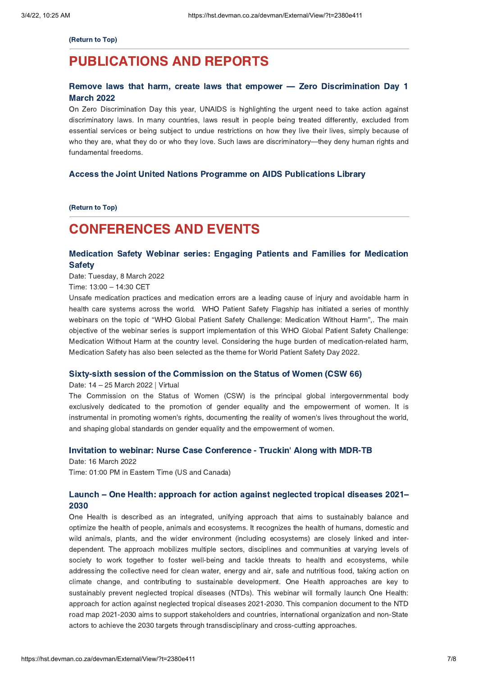(Return to Top)

## **PUBLICATIONS AND REPORTS**

# Publication of the publications and the publications and the publications are publicated and the publications of the publications of the publications of the publications of the publications of the publications of the publi Remove laws that harm, create laws that empower — Zero [Discrimination](https://hst.devman.co.za/devman/external/?t=5cfc72ac) Day 1<br>March 2022

March 2022 On Zero Discrimination Day this year, UNAIDS is highlighting the urgent need to take action against discriminatory laws. In many countries, laws result in people being treated differently, excluded from essential services or being subject to undue restrictions on how they live their lives, simply because of who they are, what they do or who they love. Such laws are discriminatory—they deny human rights and fundamental freedoms.

# Access the Joint United Nations Programme on AIDS Publications Library

 $\frac{R}{\sqrt{R}}$ 

# <span id="page-6-0"></span>**CONFERENCES AND EVENTS**

### Medication Safety Webinar series: Engaging Patients and Families for Medication Safety Webinar series: Engaging Patients and Families for Medication Patients and Families for Medication  $\mathcal{S}$

Date: Tuesday, 8 March 2022

Time: 13:00 – 14:30 CET

Unsafe medication practices and medication errors are a leading cause of injury and avoidable harm in health care systems across the world. WHO Patient Safety Flagship has initiated a series of monthly webinars on the topic of "WHO Global Patient Safety Challenge: Medication Without Harm",. The main objective of the webinar series is support implementation of this WHO Global Patient Safety Challenge: Medication Without Harm at the country level. Considering the huge burden of medication-related harm, Medication Safety has also been selected as the theme for World Patient Safety Day 2022.

## Sixty-sixty-sixty-session of the Commission on the Status of Women (CSW 66)<br>Date: 14 – 25 March 2022 | Virtual

The Commission on the Status of Women (CSW) is the principal global intergovernmental body exclusively dedicated to the promotion of gender equality and the empowerment of women. It is instrumental in promoting women's rights, documenting the reality of women's lives throughout the world, and shaping global standards on gender equality and the empowerment of women.

### Invitation to webinar: Nurse Case Conference - Truckin['](https://hst.devman.co.za/devman/external/?t=7d71e428) Along with MDR-TB

Date: 16 March 2022 Time: 01:00 PM in Eastern Time (US and Canada)

# Launch – One Health: approach for action against [neglected](https://hst.devman.co.za/devman/external/?t=be06010b) tropical diseases 2021–

2030 One Health is described as an integrated, unifying approach that aims to sustainably balance and optimize the health of people, animals and ecosystems. It recognizes the health of humans, domestic and wild animals, plants, and the wider environment (including ecosystems) are closely linked and interdependent. The approach mobilizes multiple sectors, disciplines and communities at varying levels of society to work together to foster well-being and tackle threats to health and ecosystems, while addressing the collective need for clean water, energy and air, safe and nutritious food, taking action on climate change, and contributing to sustainable development. One Health approaches are key to sustainably prevent neglected tropical diseases (NTDs). This webinar will formally launch One Health: approach for action against neglected tropical diseases 2021-2030. This companion document to the NTD road map 2021-2030 aims to support stakeholders and countries, international organization and non-State actors to achieve the 2030 targets through transdisciplinary and cross-cutting approaches.